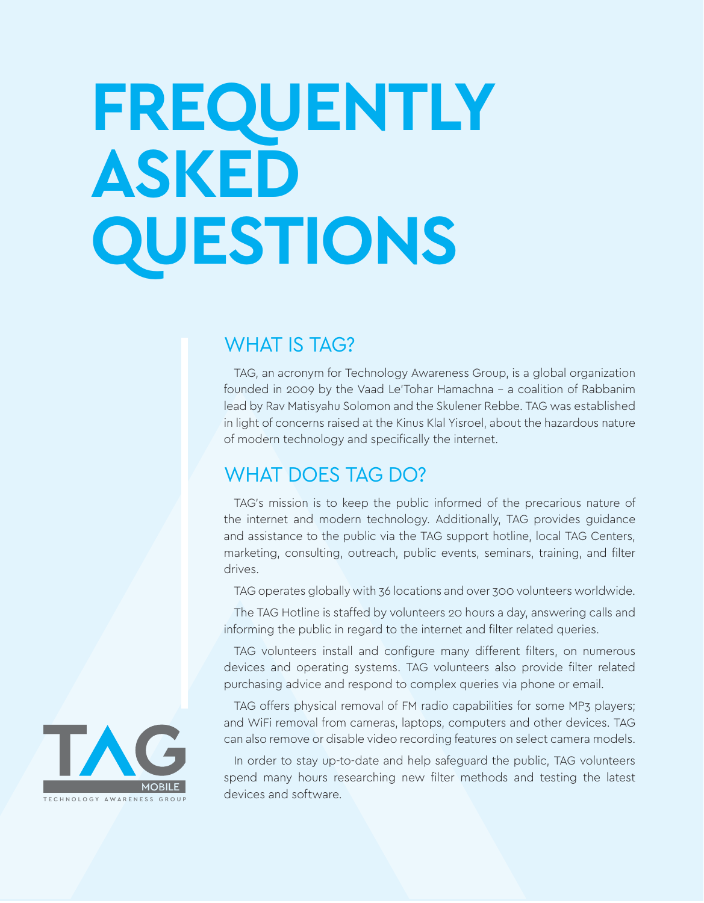# **FREQUENTLY ASKED QUESTIONS**

#### **WHAT IS TAG?**

TAG, an acronym for Technology Awareness Group, is a global organization founded in 2009 by the Vaad Le'Tohar Hamachna - a coalition of Rabbanim lead by Rav Matisyahu Solomon and the Skulener Rebbe. TAG was established in light of concerns raised at the Kinus Klal Yisroel, about the hazardous nature of modern technology and specifically the internet.

#### WHAT DOES TAG DO?

TAG's mission is to keep the public informed of the precarious nature of the internet and modern technology. Additionally, TAG provides guidance and assistance to the public via the TAG support hotline, local TAG Centers, marketing, consulting, outreach, public events, seminars, training, and filter .drives

TAG operates globally with 36 locations and over 300 volunteers worldwide.

The TAG Hotline is staffed by volunteers 20 hours a day, answering calls and informing the public in regard to the internet and filter related queries.

TAG volunteers install and configure many different filters, on numerous devices and operating systems. TAG volunteers also provide filter related purchasing advice and respond to complex queries via phone or email.

TAG offers physical removal of FM radio capabilities for some MP3 players; and WiFi removal from cameras, laptops, computers and other devices. TAG can also remove or disable video recording features on select camera models.

In order to stay up-to-date and help safeguard the public. TAG volunteers spend many hours researching new filter methods and testing the latest devices and software.